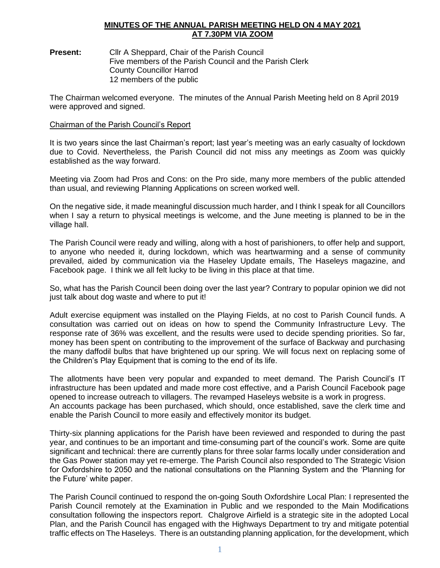## **MINUTES OF THE ANNUAL PARISH MEETING HELD ON 4 MAY 2021 AT 7.30PM VIA ZOOM**

**Present:** Cllr A Sheppard, Chair of the Parish Council Five members of the Parish Council and the Parish Clerk County Councillor Harrod 12 members of the public

The Chairman welcomed everyone. The minutes of the Annual Parish Meeting held on 8 April 2019 were approved and signed.

### Chairman of the Parish Council's Report

It is two years since the last Chairman's report; last year's meeting was an early casualty of lockdown due to Covid. Nevertheless, the Parish Council did not miss any meetings as Zoom was quickly established as the way forward.

Meeting via Zoom had Pros and Cons: on the Pro side, many more members of the public attended than usual, and reviewing Planning Applications on screen worked well.

On the negative side, it made meaningful discussion much harder, and I think I speak for all Councillors when I say a return to physical meetings is welcome, and the June meeting is planned to be in the village hall.

The Parish Council were ready and willing, along with a host of parishioners, to offer help and support, to anyone who needed it, during lockdown, which was heartwarming and a sense of community prevailed, aided by communication via the Haseley Update emails, The Haseleys magazine, and Facebook page. I think we all felt lucky to be living in this place at that time.

So, what has the Parish Council been doing over the last year? Contrary to popular opinion we did not just talk about dog waste and where to put it!

Adult exercise equipment was installed on the Playing Fields, at no cost to Parish Council funds. A consultation was carried out on ideas on how to spend the Community Infrastructure Levy. The response rate of 36% was excellent, and the results were used to decide spending priorities. So far, money has been spent on contributing to the improvement of the surface of Backway and purchasing the many daffodil bulbs that have brightened up our spring. We will focus next on replacing some of the Children's Play Equipment that is coming to the end of its life.

The allotments have been very popular and expanded to meet demand. The Parish Council's IT infrastructure has been updated and made more cost effective, and a Parish Council Facebook page opened to increase outreach to villagers. The revamped Haseleys website is a work in progress. An accounts package has been purchased, which should, once established, save the clerk time and enable the Parish Council to more easily and effectively monitor its budget.

Thirty-six planning applications for the Parish have been reviewed and responded to during the past year, and continues to be an important and time-consuming part of the council's work. Some are quite significant and technical: there are currently plans for three solar farms locally under consideration and the Gas Power station may yet re-emerge. The Parish Council also responded to The Strategic Vision for Oxfordshire to 2050 and the national consultations on the Planning System and the 'Planning for the Future' white paper.

The Parish Council continued to respond the on-going South Oxfordshire Local Plan: I represented the Parish Council remotely at the Examination in Public and we responded to the Main Modifications consultation following the inspectors report. Chalgrove Airfield is a strategic site in the adopted Local Plan, and the Parish Council has engaged with the Highways Department to try and mitigate potential traffic effects on The Haseleys. There is an outstanding planning application, for the development, which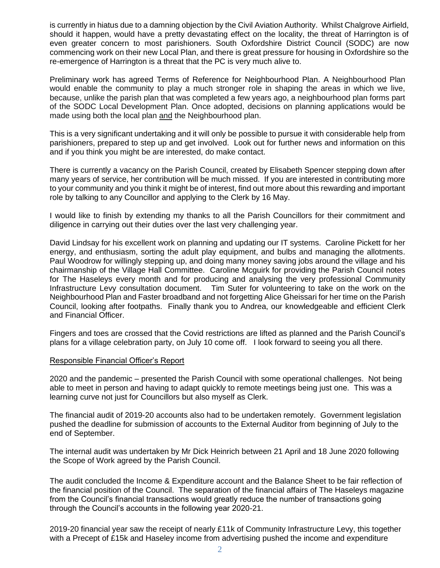is currently in hiatus due to a damning objection by the Civil Aviation Authority. Whilst Chalgrove Airfield, should it happen, would have a pretty devastating effect on the locality, the threat of Harrington is of even greater concern to most parishioners. South Oxfordshire District Council (SODC) are now commencing work on their new Local Plan, and there is great pressure for housing in Oxfordshire so the re-emergence of Harrington is a threat that the PC is very much alive to.

Preliminary work has agreed Terms of Reference for Neighbourhood Plan. A Neighbourhood Plan would enable the community to play a much stronger role in shaping the areas in which we live, because, unlike the parish plan that was completed a few years ago, a neighbourhood plan forms part of the SODC Local Development Plan. Once adopted, decisions on planning applications would be made using both the local plan and the Neighbourhood plan.

This is a very significant undertaking and it will only be possible to pursue it with considerable help from parishioners, prepared to step up and get involved. Look out for further news and information on this and if you think you might be are interested, do make contact.

There is currently a vacancy on the Parish Council, created by Elisabeth Spencer stepping down after many years of service, her contribution will be much missed. If you are interested in contributing more to your community and you think it might be of interest, find out more about this rewarding and important role by talking to any Councillor and applying to the Clerk by 16 May.

I would like to finish by extending my thanks to all the Parish Councillors for their commitment and diligence in carrying out their duties over the last very challenging year.

David Lindsay for his excellent work on planning and updating our IT systems. Caroline Pickett for her energy, and enthusiasm, sorting the adult play equipment, and bulbs and managing the allotments. Paul Woodrow for willingly stepping up, and doing many money saving jobs around the village and his chairmanship of the Village Hall Committee. Caroline Mcguirk for providing the Parish Council notes for The Haseleys every month and for producing and analysing the very professional Community Infrastructure Levy consultation document. Tim Suter for volunteering to take on the work on the Neighbourhood Plan and Faster broadband and not forgetting Alice Gheissari for her time on the Parish Council, looking after footpaths. Finally thank you to Andrea, our knowledgeable and efficient Clerk and Financial Officer.

Fingers and toes are crossed that the Covid restrictions are lifted as planned and the Parish Council's plans for a village celebration party, on July 10 come off. I look forward to seeing you all there.

### Responsible Financial Officer's Report

2020 and the pandemic – presented the Parish Council with some operational challenges. Not being able to meet in person and having to adapt quickly to remote meetings being just one. This was a learning curve not just for Councillors but also myself as Clerk.

The financial audit of 2019-20 accounts also had to be undertaken remotely. Government legislation pushed the deadline for submission of accounts to the External Auditor from beginning of July to the end of September.

The internal audit was undertaken by Mr Dick Heinrich between 21 April and 18 June 2020 following the Scope of Work agreed by the Parish Council.

The audit concluded the Income & Expenditure account and the Balance Sheet to be fair reflection of the financial position of the Council. The separation of the financial affairs of The Haseleys magazine from the Council's financial transactions would greatly reduce the number of transactions going through the Council's accounts in the following year 2020-21.

2019-20 financial year saw the receipt of nearly £11k of Community Infrastructure Levy, this together with a Precept of £15k and Haseley income from advertising pushed the income and expenditure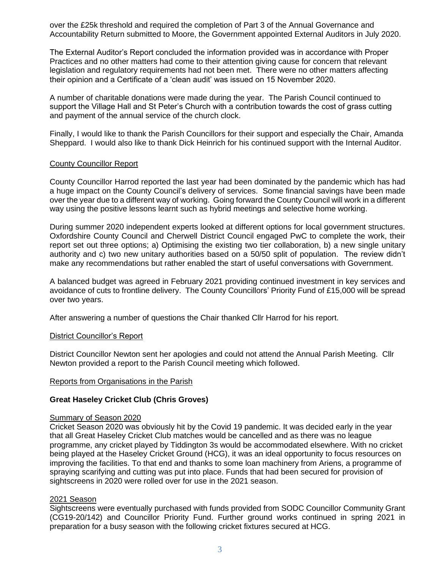over the £25k threshold and required the completion of Part 3 of the Annual Governance and Accountability Return submitted to Moore, the Government appointed External Auditors in July 2020.

The External Auditor's Report concluded the information provided was in accordance with Proper Practices and no other matters had come to their attention giving cause for concern that relevant legislation and regulatory requirements had not been met. There were no other matters affecting their opinion and a Certificate of a 'clean audit' was issued on 15 November 2020.

A number of charitable donations were made during the year. The Parish Council continued to support the Village Hall and St Peter's Church with a contribution towards the cost of grass cutting and payment of the annual service of the church clock.

Finally, I would like to thank the Parish Councillors for their support and especially the Chair, Amanda Sheppard. I would also like to thank Dick Heinrich for his continued support with the Internal Auditor.

### County Councillor Report

County Councillor Harrod reported the last year had been dominated by the pandemic which has had a huge impact on the County Council's delivery of services. Some financial savings have been made over the year due to a different way of working. Going forward the County Council will work in a different way using the positive lessons learnt such as hybrid meetings and selective home working.

During summer 2020 independent experts looked at different options for local government structures. Oxfordshire County Council and Cherwell District Council engaged PwC to complete the work, their report set out three options; a) Optimising the existing two tier collaboration, b) a new single unitary authority and c) two new unitary authorities based on a 50/50 split of population. The review didn't make any recommendations but rather enabled the start of useful conversations with Government.

A balanced budget was agreed in February 2021 providing continued investment in key services and avoidance of cuts to frontline delivery. The County Councillors' Priority Fund of £15,000 will be spread over two years.

After answering a number of questions the Chair thanked Cllr Harrod for his report.

### District Councillor's Report

District Councillor Newton sent her apologies and could not attend the Annual Parish Meeting. Cllr Newton provided a report to the Parish Council meeting which followed.

### Reports from Organisations in the Parish

### **Great Haseley Cricket Club (Chris Groves)**

## Summary of Season 2020

Cricket Season 2020 was obviously hit by the Covid 19 pandemic. It was decided early in the year that all Great Haseley Cricket Club matches would be cancelled and as there was no league programme, any cricket played by Tiddington 3s would be accommodated elsewhere. With no cricket being played at the Haseley Cricket Ground (HCG), it was an ideal opportunity to focus resources on improving the facilities. To that end and thanks to some loan machinery from Ariens, a programme of spraying scarifying and cutting was put into place. Funds that had been secured for provision of sightscreens in 2020 were rolled over for use in the 2021 season.

### 2021 Season

Sightscreens were eventually purchased with funds provided from SODC Councillor Community Grant (CG19-20/142) and Councillor Priority Fund. Further ground works continued in spring 2021 in preparation for a busy season with the following cricket fixtures secured at HCG.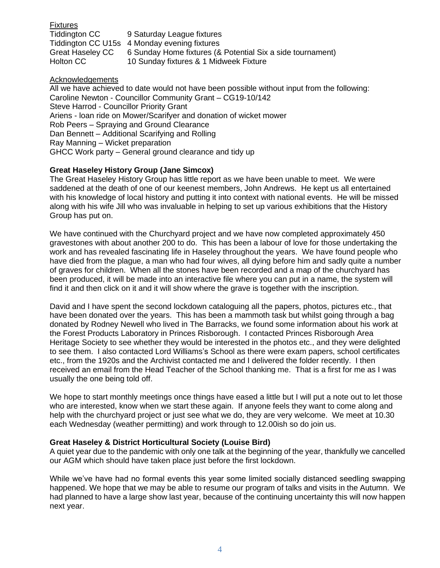| <b>Fixtures</b>         |                                                            |
|-------------------------|------------------------------------------------------------|
| Tiddington CC           | 9 Saturday League fixtures                                 |
|                         | Tiddington CC U15s 4 Monday evening fixtures               |
| <b>Great Haseley CC</b> | 6 Sunday Home fixtures (& Potential Six a side tournament) |
| Holton CC               | 10 Sunday fixtures & 1 Midweek Fixture                     |

## Acknowledgements

All we have achieved to date would not have been possible without input from the following: Caroline Newton - Councillor Community Grant – CG19-10/142 Steve Harrod - Councillor Priority Grant Ariens - loan ride on Mower/Scarifyer and donation of wicket mower Rob Peers – Spraying and Ground Clearance Dan Bennett – Additional Scarifying and Rolling Ray Manning – Wicket preparation GHCC Work party – General ground clearance and tidy up

# **Great Haseley History Group (Jane Simcox)**

The Great Haseley History Group has little report as we have been unable to meet. We were saddened at the death of one of our keenest members, John Andrews. He kept us all entertained with his knowledge of local history and putting it into context with national events. He will be missed along with his wife Jill who was invaluable in helping to set up various exhibitions that the History Group has put on.

We have continued with the Churchyard project and we have now completed approximately 450 gravestones with about another 200 to do. This has been a labour of love for those undertaking the work and has revealed fascinating life in Haseley throughout the years. We have found people who have died from the plague, a man who had four wives, all dying before him and sadly quite a number of graves for children. When all the stones have been recorded and a map of the churchyard has been produced, it will be made into an interactive file where you can put in a name, the system will find it and then click on it and it will show where the grave is together with the inscription.

David and I have spent the second lockdown cataloguing all the papers, photos, pictures etc., that have been donated over the years. This has been a mammoth task but whilst going through a bag donated by Rodney Newell who lived in The Barracks, we found some information about his work at the Forest Products Laboratory in Princes Risborough. I contacted Princes Risborough Area Heritage Society to see whether they would be interested in the photos etc., and they were delighted to see them. I also contacted Lord Williams's School as there were exam papers, school certificates etc., from the 1920s and the Archivist contacted me and I delivered the folder recently. I then received an email from the Head Teacher of the School thanking me. That is a first for me as I was usually the one being told off.

We hope to start monthly meetings once things have eased a little but I will put a note out to let those who are interested, know when we start these again. If anyone feels they want to come along and help with the churchyard project or just see what we do, they are very welcome. We meet at 10.30 each Wednesday (weather permitting) and work through to 12.00ish so do join us.

# **Great Haseley & District Horticultural Society (Louise Bird)**

A quiet year due to the pandemic with only one talk at the beginning of the year, thankfully we cancelled our AGM which should have taken place just before the first lockdown.

While we've have had no formal events this year some limited socially distanced seedling swapping happened. We hope that we may be able to resume our program of talks and visits in the Autumn. We had planned to have a large show last year, because of the continuing uncertainty this will now happen next year.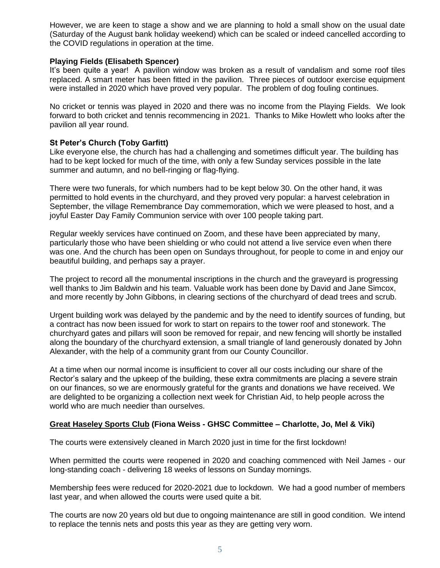However, we are keen to stage a show and we are planning to hold a small show on the usual date (Saturday of the August bank holiday weekend) which can be scaled or indeed cancelled according to the COVID regulations in operation at the time.

### **Playing Fields (Elisabeth Spencer)**

It's been quite a year! A pavilion window was broken as a result of vandalism and some roof tiles replaced. A smart meter has been fitted in the pavilion. Three pieces of outdoor exercise equipment were installed in 2020 which have proved very popular. The problem of dog fouling continues.

No cricket or tennis was played in 2020 and there was no income from the Playing Fields. We look forward to both cricket and tennis recommencing in 2021. Thanks to Mike Howlett who looks after the pavilion all year round.

### **St Peter's Church (Toby Garfitt)**

Like everyone else, the church has had a challenging and sometimes difficult year. The building has had to be kept locked for much of the time, with only a few Sunday services possible in the late summer and autumn, and no bell-ringing or flag-flying.

There were two funerals, for which numbers had to be kept below 30. On the other hand, it was permitted to hold events in the churchyard, and they proved very popular: a harvest celebration in September, the village Remembrance Day commemoration, which we were pleased to host, and a joyful Easter Day Family Communion service with over 100 people taking part.

Regular weekly services have continued on Zoom, and these have been appreciated by many, particularly those who have been shielding or who could not attend a live service even when there was one. And the church has been open on Sundays throughout, for people to come in and enjoy our beautiful building, and perhaps say a prayer.

The project to record all the monumental inscriptions in the church and the graveyard is progressing well thanks to Jim Baldwin and his team. Valuable work has been done by David and Jane Simcox, and more recently by John Gibbons, in clearing sections of the churchyard of dead trees and scrub.

Urgent building work was delayed by the pandemic and by the need to identify sources of funding, but a contract has now been issued for work to start on repairs to the tower roof and stonework. The churchyard gates and pillars will soon be removed for repair, and new fencing will shortly be installed along the boundary of the churchyard extension, a small triangle of land generously donated by John Alexander, with the help of a community grant from our County Councillor.

At a time when our normal income is insufficient to cover all our costs including our share of the Rector's salary and the upkeep of the building, these extra commitments are placing a severe strain on our finances, so we are enormously grateful for the grants and donations we have received. We are delighted to be organizing a collection next week for Christian Aid, to help people across the world who are much needier than ourselves.

# **Great Haseley Sports Club (Fiona Weiss - GHSC Committee – Charlotte, Jo, Mel & Viki)**

The courts were extensively cleaned in March 2020 just in time for the first lockdown!

When permitted the courts were reopened in 2020 and coaching commenced with Neil James - our long-standing coach - delivering 18 weeks of lessons on Sunday mornings.

Membership fees were reduced for 2020-2021 due to lockdown. We had a good number of members last year, and when allowed the courts were used quite a bit.

The courts are now 20 years old but due to ongoing maintenance are still in good condition. We intend to replace the tennis nets and posts this year as they are getting very worn.